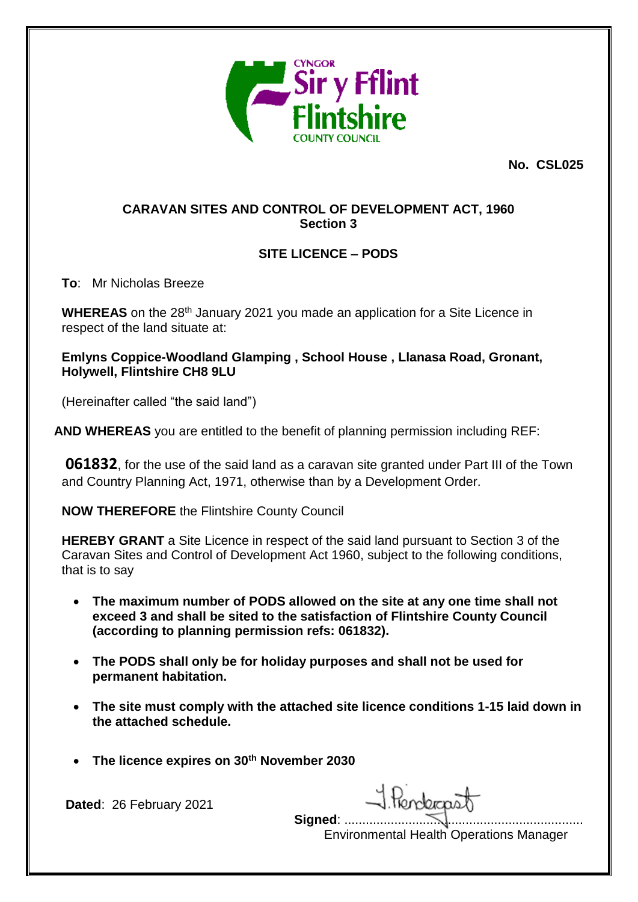

**No. CSL025**

## **CARAVAN SITES AND CONTROL OF DEVELOPMENT ACT, 1960 Section 3**

# **SITE LICENCE – PODS**

**To**: Mr Nicholas Breeze

**WHEREAS** on the 28<sup>th</sup> January 2021 you made an application for a Site Licence in respect of the land situate at:

**Emlyns Coppice-Woodland Glamping , School House , Llanasa Road, Gronant, Holywell, Flintshire CH8 9LU**

(Hereinafter called "the said land")

**AND WHEREAS** you are entitled to the benefit of planning permission including REF:

**061832**, for the use of the said land as a caravan site granted under Part III of the Town and Country Planning Act, 1971, otherwise than by a Development Order.

**NOW THEREFORE** the Flintshire County Council

**HEREBY GRANT** a Site Licence in respect of the said land pursuant to Section 3 of the Caravan Sites and Control of Development Act 1960, subject to the following conditions, that is to say

- **The maximum number of PODS allowed on the site at any one time shall not exceed 3 and shall be sited to the satisfaction of Flintshire County Council (according to planning permission refs: 061832).**
- **The PODS shall only be for holiday purposes and shall not be used for permanent habitation.**
- **The site must comply with the attached site licence conditions 1-15 laid down in the attached schedule.**
- **The licence expires on 30th November 2030**

**Dated**: 26 February 2021

1. Rendergaat **Signed: ...........** 

Environmental Health Operations Manager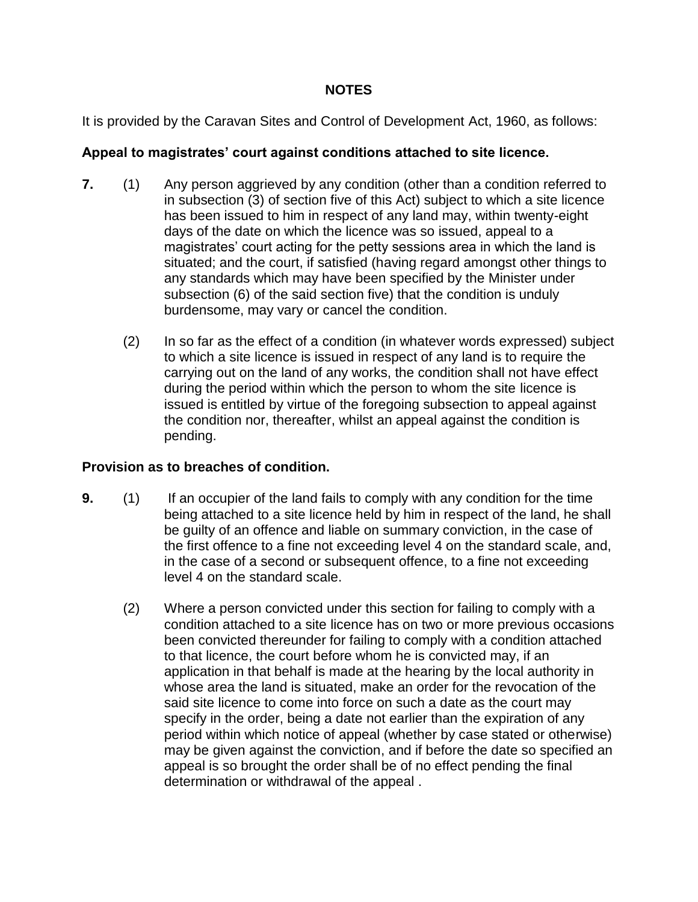### **NOTES**

It is provided by the Caravan Sites and Control of Development Act, 1960, as follows:

#### **Appeal to magistrates' court against conditions attached to site licence.**

- **7.** (1) Any person aggrieved by any condition (other than a condition referred to in subsection (3) of section five of this Act) subject to which a site licence has been issued to him in respect of any land may, within twenty-eight days of the date on which the licence was so issued, appeal to a magistrates' court acting for the petty sessions area in which the land is situated; and the court, if satisfied (having regard amongst other things to any standards which may have been specified by the Minister under subsection (6) of the said section five) that the condition is unduly burdensome, may vary or cancel the condition.
	- (2) In so far as the effect of a condition (in whatever words expressed) subject to which a site licence is issued in respect of any land is to require the carrying out on the land of any works, the condition shall not have effect during the period within which the person to whom the site licence is issued is entitled by virtue of the foregoing subsection to appeal against the condition nor, thereafter, whilst an appeal against the condition is pending.

### **Provision as to breaches of condition.**

- **9.** (1) If an occupier of the land fails to comply with any condition for the time being attached to a site licence held by him in respect of the land, he shall be guilty of an offence and liable on summary conviction, in the case of the first offence to a fine not exceeding level 4 on the standard scale, and, in the case of a second or subsequent offence, to a fine not exceeding level 4 on the standard scale.
	- (2) Where a person convicted under this section for failing to comply with a condition attached to a site licence has on two or more previous occasions been convicted thereunder for failing to comply with a condition attached to that licence, the court before whom he is convicted may, if an application in that behalf is made at the hearing by the local authority in whose area the land is situated, make an order for the revocation of the said site licence to come into force on such a date as the court may specify in the order, being a date not earlier than the expiration of any period within which notice of appeal (whether by case stated or otherwise) may be given against the conviction, and if before the date so specified an appeal is so brought the order shall be of no effect pending the final determination or withdrawal of the appeal .